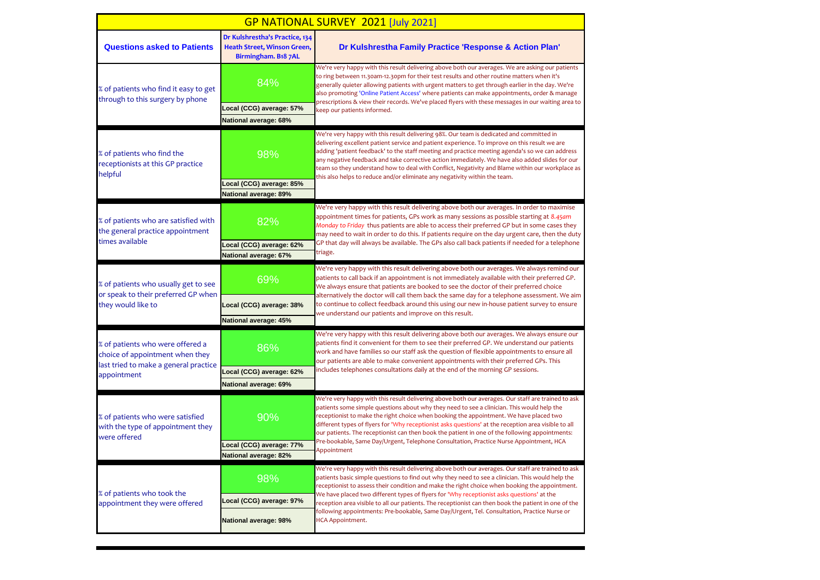| GP NATIONAL SURVEY 2021 [July 2021]                                                                          |                                                                                      |                                                                                                                                                                                                                                                                                                                                                                                                                                                                                                                                                                                                               |  |
|--------------------------------------------------------------------------------------------------------------|--------------------------------------------------------------------------------------|---------------------------------------------------------------------------------------------------------------------------------------------------------------------------------------------------------------------------------------------------------------------------------------------------------------------------------------------------------------------------------------------------------------------------------------------------------------------------------------------------------------------------------------------------------------------------------------------------------------|--|
| <b>Questions asked to Patients</b>                                                                           | Dr Kulshrestha's Practice, 134<br>Heath Street, Winson Green,<br>Birmingham. B18 7AL | Dr Kulshrestha Family Practice 'Response & Action Plan'                                                                                                                                                                                                                                                                                                                                                                                                                                                                                                                                                       |  |
| % of patients who find it easy to get<br>through to this surgery by phone                                    | 84%                                                                                  | We're very happy with this result delivering above both our averages. We are asking our patients<br>to ring between 11.30am-12.30pm for their test results and other routine matters when it's<br>generally quieter allowing patients with urgent matters to get through earlier in the day. We're<br>also promoting 'Online Patient Access' where patients can make appointments, order & manage<br>prescriptions & view their records. We've placed flyers with these messages in our waiting area to<br>keep our patients informed.                                                                        |  |
|                                                                                                              | Local (CCG) average: 57%                                                             |                                                                                                                                                                                                                                                                                                                                                                                                                                                                                                                                                                                                               |  |
|                                                                                                              | National average: 68%                                                                |                                                                                                                                                                                                                                                                                                                                                                                                                                                                                                                                                                                                               |  |
| % of patients who find the<br>receptionists at this GP practice<br>helpful                                   | 98%                                                                                  | We're very happy with this result delivering 98%. Our team is dedicated and committed in<br>delivering excellent patient service and patient experience. To improve on this result we are<br>adding 'patient feedback' to the staff meeting and practice meeting agenda's so we can address<br>any negative feedback and take corrective action immediately. We have also added slides for our<br>team so they understand how to deal with Conflict, Negativity and Blame within our workplace as<br>this also helps to reduce and/or eliminate any negativity within the team.                               |  |
|                                                                                                              | ocal (CCG) average: 85%                                                              |                                                                                                                                                                                                                                                                                                                                                                                                                                                                                                                                                                                                               |  |
|                                                                                                              | National average: 89%                                                                |                                                                                                                                                                                                                                                                                                                                                                                                                                                                                                                                                                                                               |  |
| % of patients who are satisfied with<br>the general practice appointment                                     | 82%                                                                                  | We're very happy with this result delivering above both our averages. In order to maximise<br>appointment times for patients, GPs work as many sessions as possible starting at 8.45am<br>Monday to Friday thus patients are able to access their preferred GP but in some cases they<br>may need to wait in order to do this. If patients require on the day urgent care, then the duty<br>GP that day will always be available. The GPs also call back patients if needed for a telephone<br>triage.                                                                                                        |  |
| times available                                                                                              | ocal (CCG) average: 62%                                                              |                                                                                                                                                                                                                                                                                                                                                                                                                                                                                                                                                                                                               |  |
|                                                                                                              | National average: 67%                                                                |                                                                                                                                                                                                                                                                                                                                                                                                                                                                                                                                                                                                               |  |
| % of patients who usually get to see<br>or speak to their preferred GP when                                  | 69%                                                                                  | We're very happy with this result delivering above both our averages. We always remind our<br>patients to call back if an appointment is not immediately available with their preferred GP.<br>We always ensure that patients are booked to see the doctor of their preferred choice<br>alternatively the doctor will call them back the same day for a telephone assessment. We aim<br>to continue to collect feedback around this using our new in-house patient survey to ensure<br>we understand our patients and improve on this result.                                                                 |  |
| they would like to                                                                                           | Local (CCG) average: 38%                                                             |                                                                                                                                                                                                                                                                                                                                                                                                                                                                                                                                                                                                               |  |
|                                                                                                              | National average: 45%                                                                |                                                                                                                                                                                                                                                                                                                                                                                                                                                                                                                                                                                                               |  |
| % of patients who were offered a<br>choice of appointment when they<br>last tried to make a general practice | 86%                                                                                  | We're very happy with this result delivering above both our averages. We always ensure our<br>patients find it convenient for them to see their preferred GP. We understand our patients<br>work and have families so our staff ask the question of flexible appointments to ensure all<br>our patients are able to make convenient appointments with their preferred GPs. This<br>includes telephones consultations daily at the end of the morning GP sessions.                                                                                                                                             |  |
| appointment                                                                                                  | Local (CCG) average: 62%                                                             |                                                                                                                                                                                                                                                                                                                                                                                                                                                                                                                                                                                                               |  |
|                                                                                                              | National average: 69%                                                                |                                                                                                                                                                                                                                                                                                                                                                                                                                                                                                                                                                                                               |  |
| % of patients who were satisfied<br>with the type of appointment they<br>were offered                        | 90%                                                                                  | We're very happy with this result delivering above both our averages. Our staff are trained to ask<br>patients some simple questions about why they need to see a clinician. This would help the<br>receptionist to make the right choice when booking the appointment. We have placed two<br>different types of flyers for 'Why receptionist asks questions' at the reception area visible to all<br>our patients. The receptionist can then book the patient in one of the following appointments:<br>Pre-bookable, Same Day/Urgent, Telephone Consultation, Practice Nurse Appointment, HCA<br>Appointment |  |
|                                                                                                              | Local (CCG) average: 77%<br>National average: 82%                                    |                                                                                                                                                                                                                                                                                                                                                                                                                                                                                                                                                                                                               |  |
|                                                                                                              |                                                                                      | We're very happy with this result delivering above both our averages. Our staff are trained to ask                                                                                                                                                                                                                                                                                                                                                                                                                                                                                                            |  |
| % of patients who took the<br>appointment they were offered                                                  | 98%                                                                                  | patients basic simple questions to find out why they need to see a clinician. This would help the<br>receptionist to assess their condition and make the right choice when booking the appointment.<br>We have placed two different types of flyers for 'Why receptionist asks questions' at the<br>reception area visible to all our patients. The receptionist can then book the patient in one of the<br>following appointments: Pre-bookable, Same Day/Urgent, Tel. Consultation, Practice Nurse or<br>HCA Appointment.                                                                                   |  |
|                                                                                                              | Local (CCG) average: 97%                                                             |                                                                                                                                                                                                                                                                                                                                                                                                                                                                                                                                                                                                               |  |
|                                                                                                              | National average: 98%                                                                |                                                                                                                                                                                                                                                                                                                                                                                                                                                                                                                                                                                                               |  |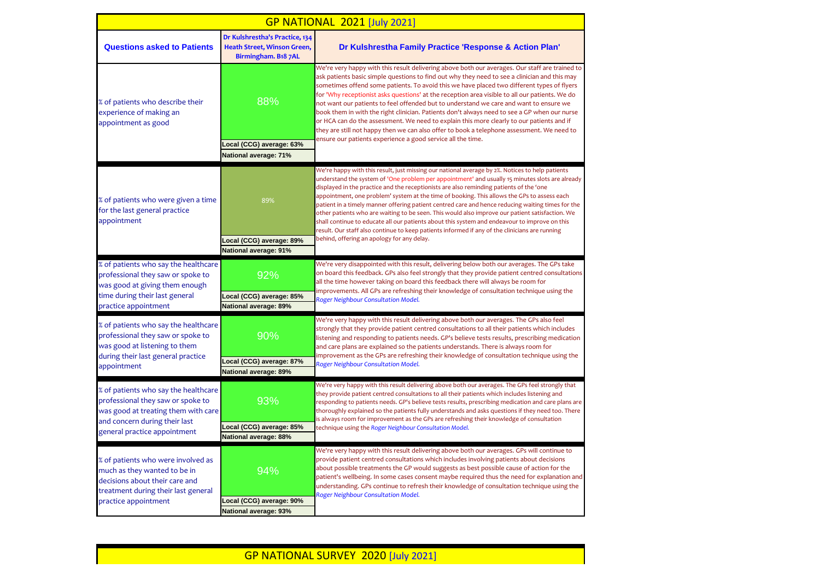| <b>GP NATIONAL 2021 [July 2021]</b>                                                                                                                                               |                                                                                      |                                                                                                                                                                                                                                                                                                                                                                                                                                                                                                                                                                                                                                                                                                                                                                                                                                                       |  |
|-----------------------------------------------------------------------------------------------------------------------------------------------------------------------------------|--------------------------------------------------------------------------------------|-------------------------------------------------------------------------------------------------------------------------------------------------------------------------------------------------------------------------------------------------------------------------------------------------------------------------------------------------------------------------------------------------------------------------------------------------------------------------------------------------------------------------------------------------------------------------------------------------------------------------------------------------------------------------------------------------------------------------------------------------------------------------------------------------------------------------------------------------------|--|
| <b>Questions asked to Patients</b>                                                                                                                                                | Dr Kulshrestha's Practice, 134<br>Heath Street, Winson Green,<br>Birmingham. B18 7AL | Dr Kulshrestha Family Practice 'Response & Action Plan'                                                                                                                                                                                                                                                                                                                                                                                                                                                                                                                                                                                                                                                                                                                                                                                               |  |
| % of patients who describe their<br>experience of making an<br>appointment as good                                                                                                | 88%<br>Local (CCG) average: 63%<br>National average: 71%                             | We're very happy with this result delivering above both our averages. Our staff are trained to<br>ask patients basic simple questions to find out why they need to see a clinician and this may<br>sometimes offend some patients. To avoid this we have placed two different types of flyers<br>for 'Why receptionist asks questions' at the reception area visible to all our patients. We do<br>not want our patients to feel offended but to understand we care and want to ensure we<br>book them in with the right clinician. Patients don't always need to see a GP when our nurse<br>or HCA can do the assessment. We need to explain this more clearly to our patients and if<br>they are still not happy then we can also offer to book a telephone assessment. We need to<br>ensure our patients experience a good service all the time.   |  |
| % of patients who were given a time<br>for the last general practice<br>appointment                                                                                               | 89%<br>Local (CCG) average: 89%<br>National average: 91%                             | We're happy with this result, just missing our national average by 2%. Notices to help patients<br>understand the system of 'One problem per appointment' and usually 15 minutes slots are already<br>displayed in the practice and the receptionists are also reminding patients of the 'one<br>appointment, one problem' system at the time of booking. This allows the GPs to assess each<br>patient in a timely manner offering patient centred care and hence reducing waiting times for the<br>other patients who are waiting to be seen. This would also improve our patient satisfaction. We<br>shall continue to educate all our patients about this system and endeavour to improve on this<br>result. Our staff also continue to keep patients informed if any of the clinicians are running<br>behind, offering an apology for any delay. |  |
| % of patients who say the healthcare<br>professional they saw or spoke to<br>was good at giving them enough<br>time during their last general<br>practice appointment             | 92%<br>Local (CCG) average: 85%<br>National average: 89%                             | We're very disappointed with this result, delivering below both our averages. The GPs take<br>on board this feedback. GPs also feel strongly that they provide patient centred consultations<br>all the time however taking on board this feedback there will always be room for<br>improvements. All GPs are refreshing their knowledge of consultation technique using the<br>Roger Neighbour Consultation Model.                                                                                                                                                                                                                                                                                                                                                                                                                                   |  |
| % of patients who say the healthcare<br>professional they saw or spoke to<br>was good at listening to them<br>during their last general practice<br>appointment                   | 90%<br>Local (CCG) average: 87%<br>National average: 89%                             | We're very happy with this result delivering above both our averages. The GPs also feel<br>strongly that they provide patient centred consultations to all their patients which includes<br>listening and responding to patients needs. GP's believe tests results, prescribing medication<br>and care plans are explained so the patients understands. There is always room for<br>improvement as the GPs are refreshing their knowledge of consultation technique using the<br>Roger Neighbour Consultation Model.                                                                                                                                                                                                                                                                                                                                  |  |
| % of patients who say the healthcare<br>professional they saw or spoke to<br>was good at treating them with care<br>and concern during their last<br>general practice appointment | 93%<br>Local (CCG) average: 85%<br>National average: 88%                             | We're very happy with this result delivering above both our averages. The GPs feel strongly that<br>they provide patient centred consultations to all their patients which includes listening and<br>responding to patients needs. GP's believe tests results, prescribing medication and care plans are<br>thoroughly explained so the patients fully understands and asks questions if they need too. There<br>is always room for improvement as the GPs are refreshing their knowledge of consultation<br>technique using the Roger Neighbour Consultation Model.                                                                                                                                                                                                                                                                                  |  |
| % of patients who were involved as<br>much as they wanted to be in<br>decisions about their care and<br>treatment during their last general<br>practice appointment               | 94%<br>Local (CCG) average: 90%<br>National average: 93%                             | We're very happy with this result delivering above both our averages. GPs will continue to<br>provide patient centred consultations which includes involving patients about decisions<br>about possible treatments the GP would suggests as best possible cause of action for the<br>patient's wellbeing. In some cases consent maybe required thus the need for explanation and<br>understanding. GPs continue to refresh their knowledge of consultation technique using the<br>Roger Neighbour Consultation Model.                                                                                                                                                                                                                                                                                                                                 |  |

## GP NATIONAL SURVEY 2020 [July 2021]